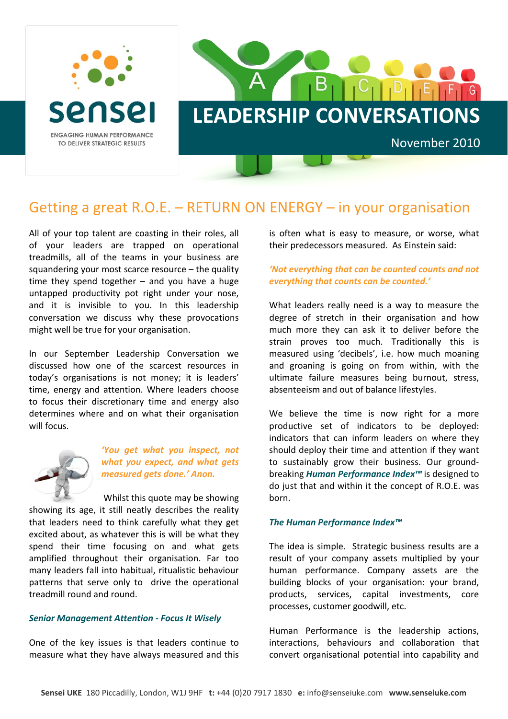



# Getting a great R.O.E. – RETURN ON ENERGY – in your organisation

All of your top talent are coasting in their roles, all of your leaders are trapped on operational treadmills, all of the teams in your business are squandering your most scarce resource – the quality time they spend together  $-$  and you have a huge untapped productivity pot right under your nose, and it is invisible to you. In this leadership conversation we discuss why these provocations might well be true for your organisation.

In our September Leadership Conversation we discussed how one of the scarcest resources in today's organisations is not money; it is leaders' time, energy and attention. Where leaders choose to focus their discretionary time and energy also determines where and on what their organisation will focus.



*'You get what you inspect, not what you expect, and what gets measured gets done.' Anon.*

Whilst this quote may be showing showing its age, it still neatly describes the reality that leaders need to think carefully what they get excited about, as whatever this is will be what they spend their time focusing on and what gets amplified throughout their organisation. Far too many leaders fall into habitual, ritualistic behaviour patterns that serve only to drive the operational treadmill round and round.

#### *Senior Management Attention ‐ Focus It Wisely*

One of the key issues is that leaders continue to measure what they have always measured and this is often what is easy to measure, or worse, what their predecessors measured. As Einstein said:

## *'Not everything that can be counted counts and not everything that counts can be counted.'*

What leaders really need is a way to measure the degree of stretch in their organisation and how much more they can ask it to deliver before the strain proves too much. Traditionally this is measured using 'decibels', i.e. how much moaning and groaning is going on from within, with the ultimate failure measures being burnout, stress, absenteeism and out of balance lifestyles.

We believe the time is now right for a more productive set of indicators to be deployed: indicators that can inform leaders on where they should deploy their time and attention if they want to sustainably grow their business. Our ground‐ breaking *Human Performance Index™* is designed to do just that and within it the concept of R.O.E. was born.

#### *The Human Performance Index™*

The idea is simple. Strategic business results are a result of your company assets multiplied by your human performance. Company assets are the building blocks of your organisation: your brand, products, services, capital investments, core processes, customer goodwill, etc.

Human Performance is the leadership actions, interactions, behaviours and collaboration that convert organisational potential into capability and